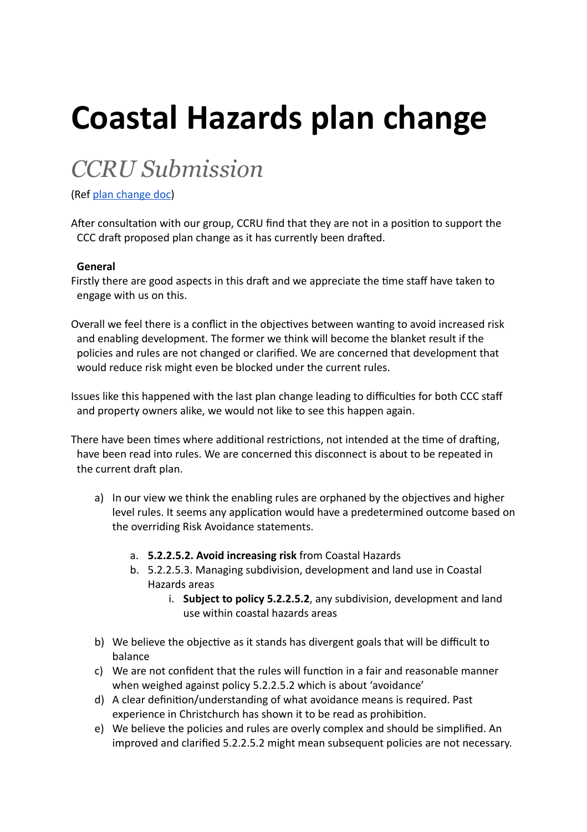# **Coastal Hazards plan change**

# *CCRU Submission*

(Ref [plan change doc](https://drive.google.com/file/d/1Y4uq6DDPagUXDxvmX1tpKKdoaxyBSLPs/view?usp=sharing))

After consultation with our group, CCRU find that they are not in a position to support the CCC draft proposed plan change as it has currently been drafted.

# **General**

Firstly there are good aspects in this draft and we appreciate the time staff have taken to engage with us on this.

Overall we feel there is a conflict in the objectives between wanting to avoid increased risk and enabling development. The former we think will become the blanket result if the policies and rules are not changed or clarified. We are concerned that development that would reduce risk might even be blocked under the current rules.

Issues like this happened with the last plan change leading to difficulties for both CCC staff and property owners alike, we would not like to see this happen again.

There have been times where additional restrictions, not intended at the time of drafting, have been read into rules. We are concerned this disconnect is about to be repeated in the current draft plan.

- a) In our view we think the enabling rules are orphaned by the objectives and higher level rules. It seems any application would have a predetermined outcome based on the overriding Risk Avoidance statements.
	- a. **5.2.2.5.2. Avoid increasing risk** from Coastal Hazards
	- b. 5.2.2.5.3. Managing subdivision, development and land use in Coastal Hazards areas
		- i. **Subject to policy 5.2.2.5.2**, any subdivision, development and land use within coastal hazards areas
- b) We believe the objective as it stands has divergent goals that will be difficult to balance
- c) We are not confident that the rules will function in a fair and reasonable manner when weighed against policy 5.2.2.5.2 which is about 'avoidance'
- d) A clear definion/understanding of what avoidance means is required. Past experience in Christchurch has shown it to be read as prohibition.
- e) We believe the policies and rules are overly complex and should be simplified. An improved and clarified 5.2.2.5.2 might mean subsequent policies are not necessary.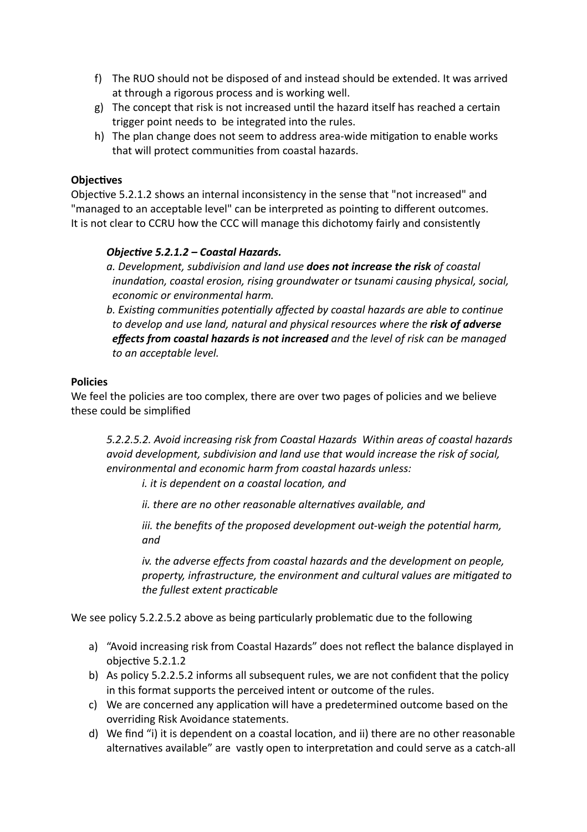- f) The RUO should not be disposed of and instead should be extended. It was arrived at through a rigorous process and is working well.
- g) The concept that risk is not increased until the hazard itself has reached a certain trigger point needs to be integrated into the rules.
- h) The plan change does not seem to address area-wide mitigation to enable works that will protect communities from coastal hazards.

# **Objectives**

Objective 5.2.1.2 shows an internal inconsistency in the sense that "not increased" and "managed to an acceptable level" can be interpreted as pointing to different outcomes. It is not clear to CCRU how the CCC will manage this dichotomy fairly and consistently

#### *Objective 5.2.1.2 – Coastal Hazards.*

- *a. Development, subdivision and land use does not increase the risk of coastal inundation, coastal erosion, rising groundwater or tsunami causing physical, social, economic or environmental harm.*
- *b. Existing communities potentially affected by coastal hazards are able to continue to develop and use land, natural and physical resources where the risk of adverse effects from coastal hazards is not increased and the level of risk can be managed to an acceptable level.*

#### **Policies**

We feel the policies are too complex, there are over two pages of policies and we believe these could be simplified

*5.2.2.5.2. Avoid increasing risk from Coastal Hazards Within areas of coastal hazards avoid development, subdivision and land use that would increase the risk of social, environmental and economic harm from coastal hazards unless:*

*i. it is dependent on a coastal location, and* 

*ii. there are no other reasonable alternatives available, and* 

*iii. the benefits of the proposed development out-weigh the potential harm, and*

*iv. the adverse effects from coastal hazards and the development on people, property, infrastructure, the environment and cultural values are migated to the fullest extent praccable*

We see policy 5.2.2.5.2 above as being particularly problematic due to the following

- a) "Avoid increasing risk from Coastal Hazards" does not reflect the balance displayed in objective 5.2.1.2
- b) As policy 5.2.2.5.2 informs all subsequent rules, we are not confident that the policy in this format supports the perceived intent or outcome of the rules.
- c) We are concerned any application will have a predetermined outcome based on the overriding Risk Avoidance statements.
- d) We find "i) it is dependent on a coastal location, and ii) there are no other reasonable alternatives available" are vastly open to interpretation and could serve as a catch-all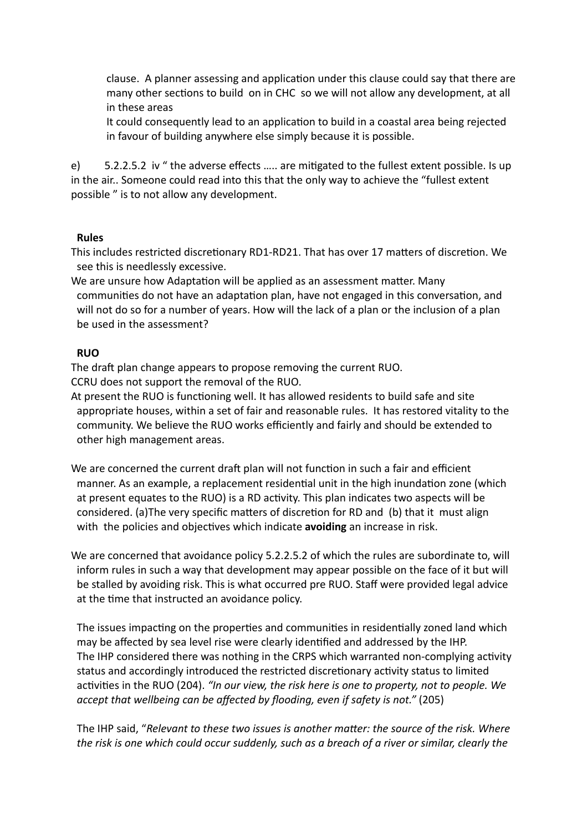clause. A planner assessing and application under this clause could say that there are many other sections to build on in CHC so we will not allow any development, at all in these areas

It could consequently lead to an application to build in a coastal area being rejected in favour of building anywhere else simply because it is possible.

e) 5.2.2.5.2 iv " the adverse effects ..... are mitigated to the fullest extent possible. Is up in the air.. Someone could read into this that the only way to achieve the "fullest extent possible " is to not allow any development.

#### **Rules**

This includes restricted discretionary RD1-RD21. That has over 17 matters of discretion. We see this is needlessly excessive.

We are unsure how Adaptation will be applied as an assessment matter. Many communities do not have an adaptation plan, have not engaged in this conversation, and will not do so for a number of years. How will the lack of a plan or the inclusion of a plan be used in the assessment?

# **RUO**

The draft plan change appears to propose removing the current RUO. CCRU does not support the removal of the RUO.

At present the RUO is functioning well. It has allowed residents to build safe and site appropriate houses, within a set of fair and reasonable rules. It has restored vitality to the community. We believe the RUO works efficiently and fairly and should be extended to other high management areas.

We are concerned the current draft plan will not function in such a fair and efficient manner. As an example, a replacement residential unit in the high inundation zone (which at present equates to the RUO) is a RD activity. This plan indicates two aspects will be considered. (a)The very specific matters of discretion for RD and (b) that it must align with the policies and objectives which indicate **avoiding** an increase in risk.

We are concerned that avoidance policy 5.2.2.5.2 of which the rules are subordinate to, will inform rules in such a way that development may appear possible on the face of it but will be stalled by avoiding risk. This is what occurred pre RUO. Staff were provided legal advice at the time that instructed an avoidance policy.

The issues impacting on the properties and communities in residentially zoned land which may be affected by sea level rise were clearly idenfied and addressed by the IHP. The IHP considered there was nothing in the CRPS which warranted non-complying activity status and accordingly introduced the restricted discretionary activity status to limited activities in the RUO (204). *"In our view, the risk here is one to property, not to people. We accept that wellbeing can be affected by flooding, even if safety is not."* (205)

The IHP said, "*Relevant to these two issues is another matter: the source of the risk. Where the risk is one which could occur suddenly, such as a breach of a river or similar, clearly the*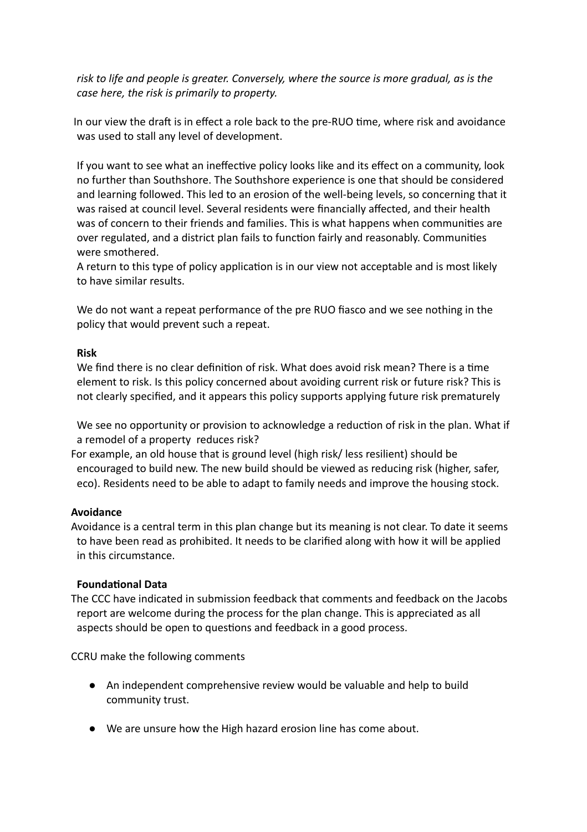*risk to life and people is greater. Conversely, where the source is more gradual, as is the case here, the risk is primarily to property.*

In our view the draft is in effect a role back to the pre-RUO time, where risk and avoidance was used to stall any level of development.

If you want to see what an ineffective policy looks like and its effect on a community, look no further than Southshore. The Southshore experience is one that should be considered and learning followed. This led to an erosion of the well-being levels, so concerning that it was raised at council level. Several residents were financially affected, and their health was of concern to their friends and families. This is what happens when communities are over regulated, and a district plan fails to function fairly and reasonably. Communities were smothered.

A return to this type of policy application is in our view not acceptable and is most likely to have similar results.

We do not want a repeat performance of the pre RUO fiasco and we see nothing in the policy that would prevent such a repeat.

#### **Risk**

We find there is no clear definition of risk. What does avoid risk mean? There is a time element to risk. Is this policy concerned about avoiding current risk or future risk? This is not clearly specified, and it appears this policy supports applying future risk prematurely

We see no opportunity or provision to acknowledge a reduction of risk in the plan. What if a remodel of a property reduces risk?

For example, an old house that is ground level (high risk/ less resilient) should be encouraged to build new. The new build should be viewed as reducing risk (higher, safer, eco). Residents need to be able to adapt to family needs and improve the housing stock.

# **Avoidance**

Avoidance is a central term in this plan change but its meaning is not clear. To date it seems to have been read as prohibited. It needs to be clarified along with how it will be applied in this circumstance.

# **Foundational Data**

The CCC have indicated in submission feedback that comments and feedback on the Jacobs report are welcome during the process for the plan change. This is appreciated as all aspects should be open to questions and feedback in a good process.

CCRU make the following comments

- An independent comprehensive review would be valuable and help to build community trust.
- We are unsure how the High hazard erosion line has come about.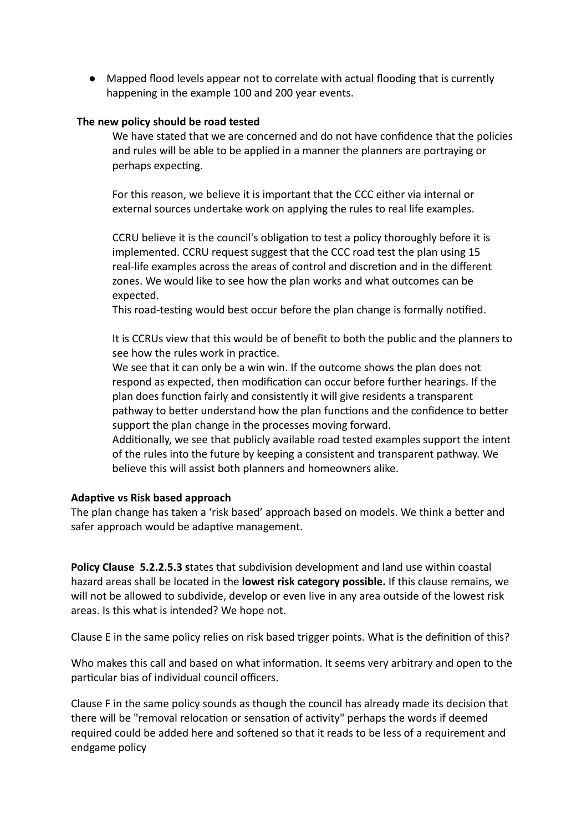● Mapped flood levels appear not to correlate with actual flooding that is currently happening in the example 100 and 200 year events.

#### **The new policy should be road tested**

We have stated that we are concerned and do not have confidence that the policies and rules will be able to be applied in a manner the planners are portraying or perhaps expecting.

For this reason, we believe it is important that the CCC either via internal or external sources undertake work on applying the rules to real life examples.

CCRU believe it is the council's obligation to test a policy thoroughly before it is implemented. CCRU request suggest that the CCC road test the plan using 15 real-life examples across the areas of control and discretion and in the different zones. We would like to see how the plan works and what outcomes can be expected.

This road-testing would best occur before the plan change is formally notified.

It is CCRUs view that this would be of benefit to both the public and the planners to see how the rules work in practice.

We see that it can only be a win win. If the outcome shows the plan does not respond as expected, then modification can occur before further hearings. If the plan does function fairly and consistently it will give residents a transparent pathway to better understand how the plan functions and the confidence to better support the plan change in the processes moving forward.

Additionally, we see that publicly available road tested examples support the intent of the rules into the future by keeping a consistent and transparent pathway. We believe this will assist both planners and homeowners alike.

#### **Adaptive vs Risk based approach**

The plan change has taken a 'risk based' approach based on models. We think a better and safer approach would be adaptive management.

**Policy Clause 5.2.2.5.3 s**tates that subdivision development and land use within coastal hazard areas shall be located in the **lowest risk category possible.** If this clause remains, we will not be allowed to subdivide, develop or even live in any area outside of the lowest risk areas. Is this what is intended? We hope not.

Clause E in the same policy relies on risk based trigger points. What is the definition of this?

Who makes this call and based on what information. It seems very arbitrary and open to the particular bias of individual council officers.

Clause F in the same policy sounds as though the council has already made its decision that there will be "removal relocation or sensation of activity" perhaps the words if deemed required could be added here and softened so that it reads to be less of a requirement and endgame policy